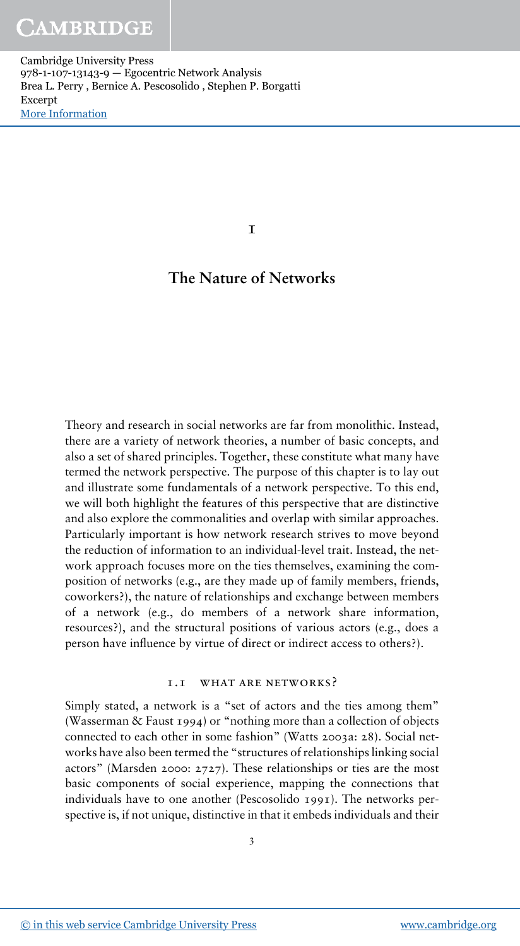1

# The Nature of Networks

Theory and research in social networks are far from monolithic. Instead, there are a variety of network theories, a number of basic concepts, and also a set of shared principles. Together, these constitute what many have termed the network perspective. The purpose of this chapter is to lay out and illustrate some fundamentals of a network perspective. To this end, we will both highlight the features of this perspective that are distinctive and also explore the commonalities and overlap with similar approaches. Particularly important is how network research strives to move beyond the reduction of information to an individual-level trait. Instead, the network approach focuses more on the ties themselves, examining the composition of networks (e.g., are they made up of family members, friends, coworkers?), the nature of relationships and exchange between members of a network (e.g., do members of a network share information, resources?), and the structural positions of various actors (e.g., does a person have influence by virtue of direct or indirect access to others?).

## 1.1 what are networks?

Simply stated, a network is a "set of actors and the ties among them" (Wasserman & Faust 1994) or "nothing more than a collection of objects connected to each other in some fashion" (Watts 2003a: 28). Social networks have also been termed the "structures of relationships linking social actors" (Marsden 2000: 2727). These relationships or ties are the most basic components of social experience, mapping the connections that individuals have to one another (Pescosolido 1991). The networks perspective is, if not unique, distinctive in that it embeds individuals and their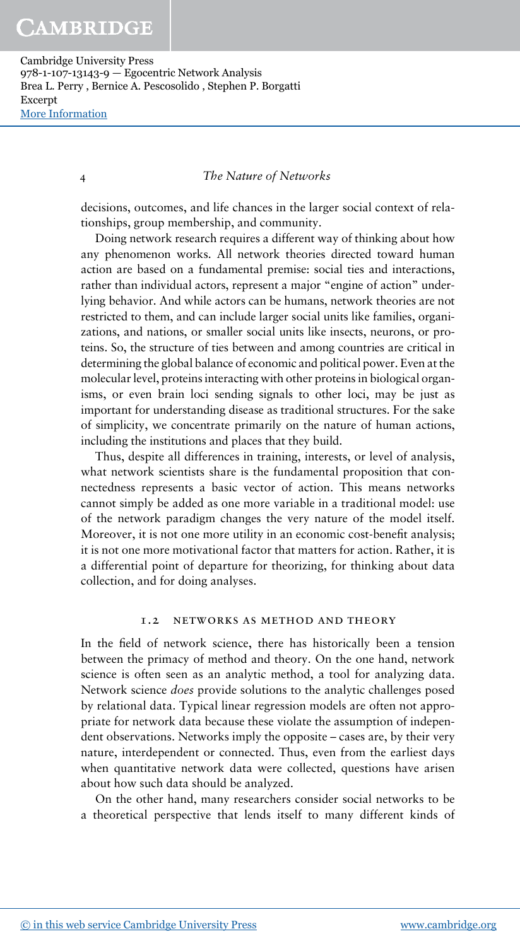## 4 The Nature of Networks

decisions, outcomes, and life chances in the larger social context of relationships, group membership, and community.

Doing network research requires a different way of thinking about how any phenomenon works. All network theories directed toward human action are based on a fundamental premise: social ties and interactions, rather than individual actors, represent a major "engine of action" underlying behavior. And while actors can be humans, network theories are not restricted to them, and can include larger social units like families, organizations, and nations, or smaller social units like insects, neurons, or proteins. So, the structure of ties between and among countries are critical in determining the global balance of economic and political power. Even at the molecular level, proteins interacting with other proteins in biological organisms, or even brain loci sending signals to other loci, may be just as important for understanding disease as traditional structures. For the sake of simplicity, we concentrate primarily on the nature of human actions, including the institutions and places that they build.

Thus, despite all differences in training, interests, or level of analysis, what network scientists share is the fundamental proposition that connectedness represents a basic vector of action. This means networks cannot simply be added as one more variable in a traditional model: use of the network paradigm changes the very nature of the model itself. Moreover, it is not one more utility in an economic cost-benefit analysis; it is not one more motivational factor that matters for action. Rather, it is a differential point of departure for theorizing, for thinking about data collection, and for doing analyses.

## 1.2 networks as method and theory

In the field of network science, there has historically been a tension between the primacy of method and theory. On the one hand, network science is often seen as an analytic method, a tool for analyzing data. Network science does provide solutions to the analytic challenges posed by relational data. Typical linear regression models are often not appropriate for network data because these violate the assumption of independent observations. Networks imply the opposite – cases are, by their very nature, interdependent or connected. Thus, even from the earliest days when quantitative network data were collected, questions have arisen about how such data should be analyzed.

On the other hand, many researchers consider social networks to be a theoretical perspective that lends itself to many different kinds of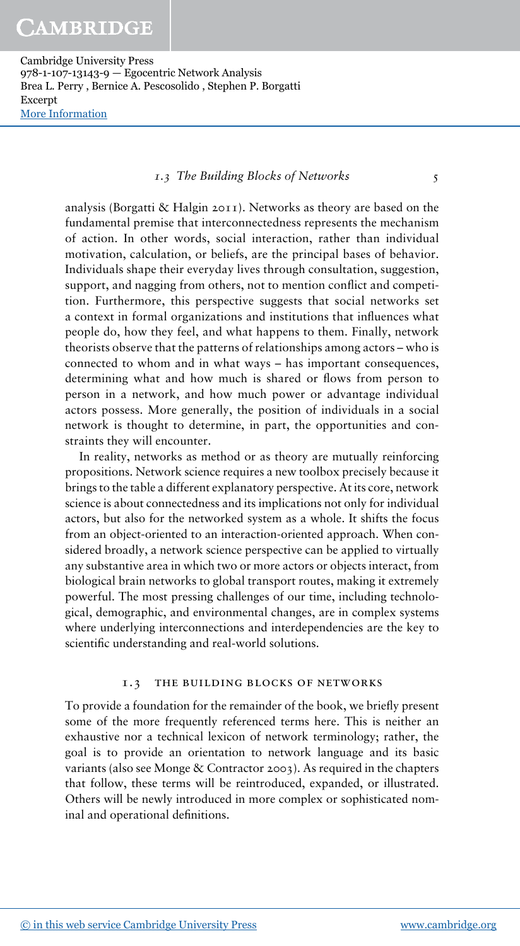## *1*.*3* The Building Blocks of Networks 5

analysis (Borgatti & Halgin 2011). Networks as theory are based on the fundamental premise that interconnectedness represents the mechanism of action. In other words, social interaction, rather than individual motivation, calculation, or beliefs, are the principal bases of behavior. Individuals shape their everyday lives through consultation, suggestion, support, and nagging from others, not to mention conflict and competition. Furthermore, this perspective suggests that social networks set a context in formal organizations and institutions that influences what people do, how they feel, and what happens to them. Finally, network theorists observe that the patterns of relationships among actors – who is connected to whom and in what ways – has important consequences, determining what and how much is shared or flows from person to person in a network, and how much power or advantage individual actors possess. More generally, the position of individuals in a social network is thought to determine, in part, the opportunities and constraints they will encounter.

In reality, networks as method or as theory are mutually reinforcing propositions. Network science requires a new toolbox precisely because it brings to the table a different explanatory perspective. At its core, network science is about connectedness and its implications not only for individual actors, but also for the networked system as a whole. It shifts the focus from an object-oriented to an interaction-oriented approach. When considered broadly, a network science perspective can be applied to virtually any substantive area in which two or more actors or objects interact, from biological brain networks to global transport routes, making it extremely powerful. The most pressing challenges of our time, including technological, demographic, and environmental changes, are in complex systems where underlying interconnections and interdependencies are the key to scientific understanding and real-world solutions.

#### 1.3 the building blocks of networks

To provide a foundation for the remainder of the book, we briefly present some of the more frequently referenced terms here. This is neither an exhaustive nor a technical lexicon of network terminology; rather, the goal is to provide an orientation to network language and its basic variants (also see Monge & Contractor 2003). As required in the chapters that follow, these terms will be reintroduced, expanded, or illustrated. Others will be newly introduced in more complex or sophisticated nominal and operational definitions.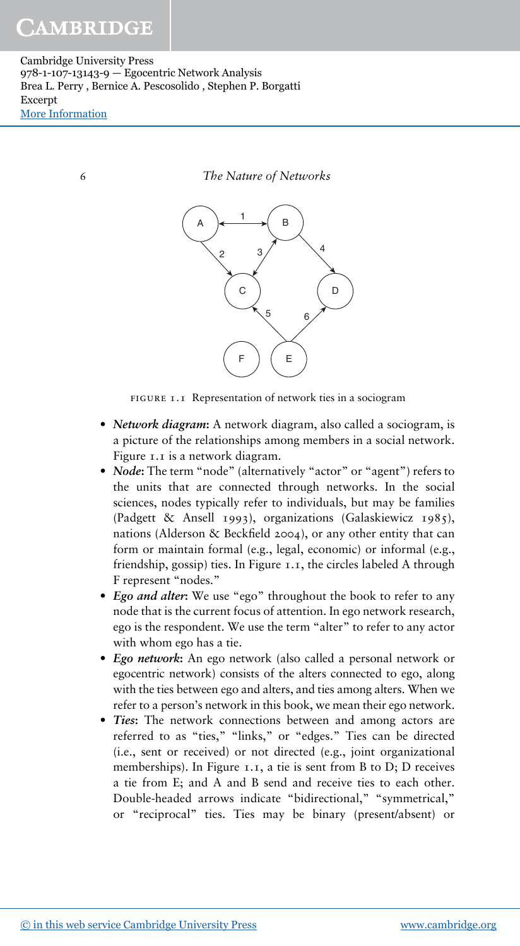6 The Nature of Networks



FIGURE 1.1 Representation of network ties in a sociogram

- Network diagram: A network diagram, also called a sociogram, is a picture of the relationships among members in a social network. Figure 1.1 is a network diagram.
- Node: The term "node" (alternatively "actor" or "agent") refers to the units that are connected through networks. In the social sciences, nodes typically refer to individuals, but may be families (Padgett & Ansell 1993), organizations (Galaskiewicz 1985), nations (Alderson & Beckfield 2004), or any other entity that can form or maintain formal (e.g., legal, economic) or informal (e.g., friendship, gossip) ties. In Figure  $I.I.$ , the circles labeled A through F represent "nodes."
- Ego and alter: We use "ego" throughout the book to refer to any node that is the current focus of attention. In ego network research, ego is the respondent. We use the term "alter" to refer to any actor with whom ego has a tie.
- Ego network: An ego network (also called a personal network or egocentric network) consists of the alters connected to ego, along with the ties between ego and alters, and ties among alters. When we refer to a person's network in this book, we mean their ego network.
- Ties: The network connections between and among actors are referred to as "ties," "links," or "edges." Ties can be directed (i.e., sent or received) or not directed (e.g., joint organizational memberships). In Figure 1.1, a tie is sent from B to D; D receives a tie from E; and A and B send and receive ties to each other. Double-headed arrows indicate "bidirectional," "symmetrical," or "reciprocal" ties. Ties may be binary (present/absent) or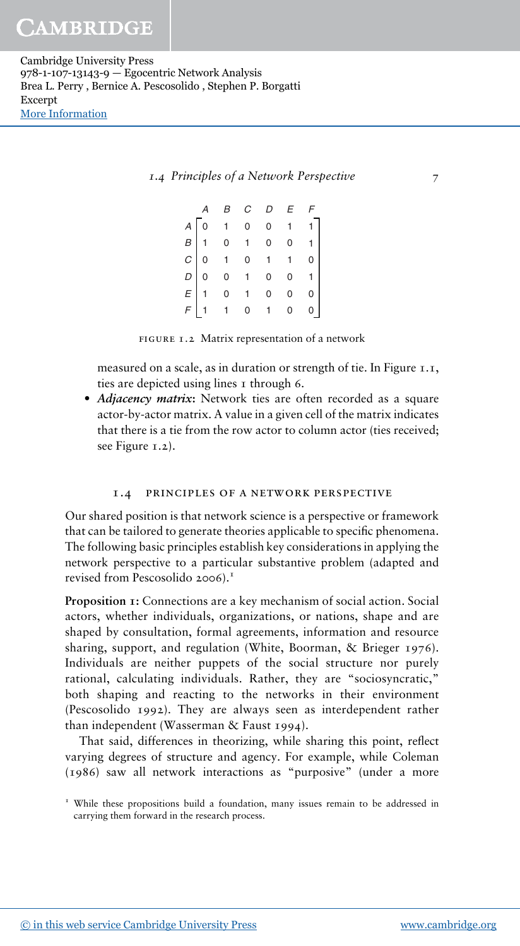*1*.*4* Principles of a Network Perspective 7

|  |                                                                                                                                                                                        | $\mathcal{C}$ | D              | E            |                  |  |
|--|----------------------------------------------------------------------------------------------------------------------------------------------------------------------------------------|---------------|----------------|--------------|------------------|--|
|  |                                                                                                                                                                                        |               |                | $1 -$        |                  |  |
|  |                                                                                                                                                                                        |               |                | $\mathsf{O}$ | $\left  \right $ |  |
|  |                                                                                                                                                                                        |               |                |              |                  |  |
|  |                                                                                                                                                                                        |               |                |              | $\vert$ 1        |  |
|  |                                                                                                                                                                                        |               |                |              | $\overline{0}$   |  |
|  | $\begin{array}{cccccc} A & 0 & 1 & 0 & 0 & 1 \\ B & 1 & 0 & 1 & 0 & 0 \\ C & 0 & 1 & 0 & 1 & 1 \\ D & 0 & 0 & 1 & 0 & 0 \\ E & 1 & 0 & 1 & 0 & 0 \\ F & 1 & 1 & 0 & 1 & 0 \end{array}$ |               | $\overline{1}$ |              |                  |  |

figure 1.2 Matrix representation of a network

measured on a scale, as in duration or strength of tie. In Figure 1.1, ties are depicted using lines 1 through 6.

• Adjacency matrix: Network ties are often recorded as a square actor-by-actor matrix. A value in a given cell of the matrix indicates that there is a tie from the row actor to column actor (ties received; see Figure 1.2).

## 1.4 principles of a network perspective

Our shared position is that network science is a perspective or framework that can be tailored to generate theories applicable to specific phenomena. The following basic principles establish key considerations in applying the network perspective to a particular substantive problem (adapted and revised from Pescosolido 2006).<sup>1</sup>

Proposition 1: Connections are a key mechanism of social action. Social actors, whether individuals, organizations, or nations, shape and are shaped by consultation, formal agreements, information and resource sharing, support, and regulation (White, Boorman, & Brieger 1976). Individuals are neither puppets of the social structure nor purely rational, calculating individuals. Rather, they are "sociosyncratic," both shaping and reacting to the networks in their environment (Pescosolido 1992). They are always seen as interdependent rather than independent (Wasserman & Faust 1994).

That said, differences in theorizing, while sharing this point, reflect varying degrees of structure and agency. For example, while Coleman (1986) saw all network interactions as "purposive" (under a more

 $I<sup>T</sup>$  While these propositions build a foundation, many issues remain to be addressed in carrying them forward in the research process.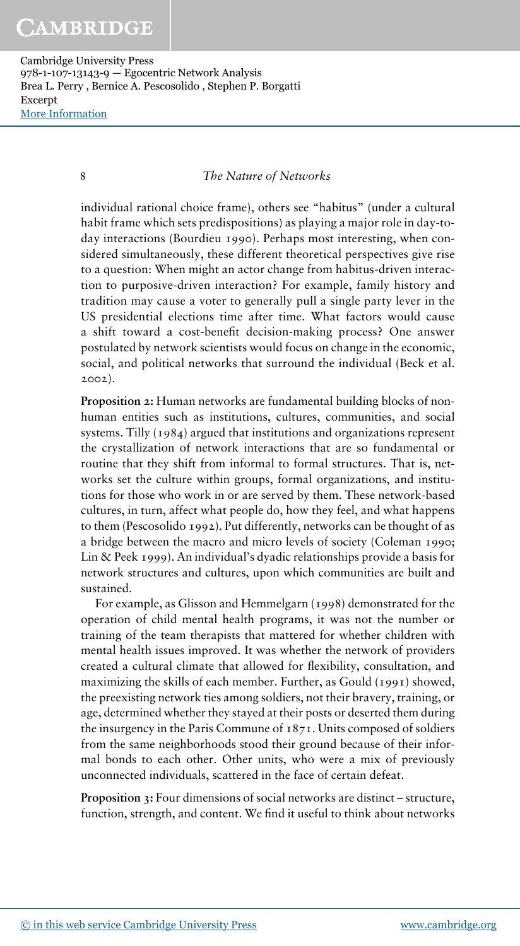#### 8 The Nature of Networks

individual rational choice frame), others see "habitus" (under a cultural habit frame which sets predispositions) as playing a major role in day-today interactions (Bourdieu 1990). Perhaps most interesting, when considered simultaneously, these different theoretical perspectives give rise to a question: When might an actor change from habitus-driven interaction to purposive-driven interaction? For example, family history and tradition may cause a voter to generally pull a single party lever in the US presidential elections time after time. What factors would cause a shift toward a cost-benefit decision-making process? One answer postulated by network scientists would focus on change in the economic, social, and political networks that surround the individual (Beck et al. 2002).

Proposition 2: Human networks are fundamental building blocks of nonhuman entities such as institutions, cultures, communities, and social systems. Tilly (1984) argued that institutions and organizations represent the crystallization of network interactions that are so fundamental or routine that they shift from informal to formal structures. That is, networks set the culture within groups, formal organizations, and institutions for those who work in or are served by them. These network-based cultures, in turn, affect what people do, how they feel, and what happens to them (Pescosolido 1992). Put differently, networks can be thought of as a bridge between the macro and micro levels of society (Coleman 1990; Lin & Peek 1999). An individual's dyadic relationships provide a basis for network structures and cultures, upon which communities are built and sustained.

For example, as Glisson and Hemmelgarn (1998) demonstrated for the operation of child mental health programs, it was not the number or training of the team therapists that mattered for whether children with mental health issues improved. It was whether the network of providers created a cultural climate that allowed for flexibility, consultation, and maximizing the skills of each member. Further, as Gould (1991) showed, the preexisting network ties among soldiers, not their bravery, training, or age, determined whether they stayed at their posts or deserted them during the insurgency in the Paris Commune of 1871. Units composed of soldiers from the same neighborhoods stood their ground because of their informal bonds to each other. Other units, who were a mix of previously unconnected individuals, scattered in the face of certain defeat.

Proposition 3: Four dimensions of social networks are distinct – structure, function, strength, and content. We find it useful to think about networks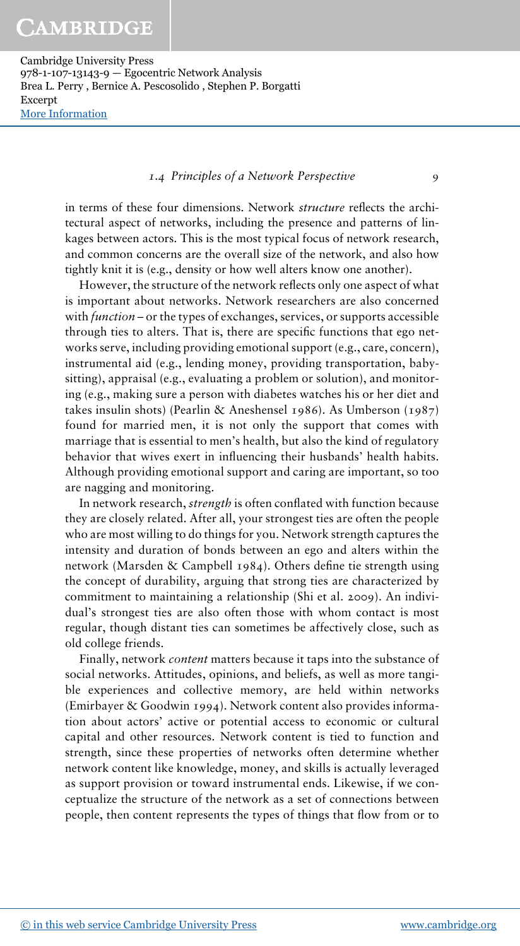#### *1.4 Principles of a Network Perspective* 9

in terms of these four dimensions. Network structure reflects the architectural aspect of networks, including the presence and patterns of linkages between actors. This is the most typical focus of network research, and common concerns are the overall size of the network, and also how tightly knit it is (e.g., density or how well alters know one another).

However, the structure of the network reflects only one aspect of what is important about networks. Network researchers are also concerned with *function* – or the types of exchanges, services, or supports accessible through ties to alters. That is, there are specific functions that ego networks serve, including providing emotional support (e.g., care, concern), instrumental aid (e.g., lending money, providing transportation, babysitting), appraisal (e.g., evaluating a problem or solution), and monitoring (e.g., making sure a person with diabetes watches his or her diet and takes insulin shots) (Pearlin & Aneshensel 1986). As Umberson (1987) found for married men, it is not only the support that comes with marriage that is essential to men's health, but also the kind of regulatory behavior that wives exert in influencing their husbands' health habits. Although providing emotional support and caring are important, so too are nagging and monitoring.

In network research, *strength* is often conflated with function because they are closely related. After all, your strongest ties are often the people who are most willing to do things for you. Network strength captures the intensity and duration of bonds between an ego and alters within the network (Marsden & Campbell 1984). Others define tie strength using the concept of durability, arguing that strong ties are characterized by commitment to maintaining a relationship (Shi et al. 2009). An individual's strongest ties are also often those with whom contact is most regular, though distant ties can sometimes be affectively close, such as old college friends.

Finally, network *content* matters because it taps into the substance of social networks. Attitudes, opinions, and beliefs, as well as more tangible experiences and collective memory, are held within networks (Emirbayer & Goodwin 1994). Network content also provides information about actors' active or potential access to economic or cultural capital and other resources. Network content is tied to function and strength, since these properties of networks often determine whether network content like knowledge, money, and skills is actually leveraged as support provision or toward instrumental ends. Likewise, if we conceptualize the structure of the network as a set of connections between people, then content represents the types of things that flow from or to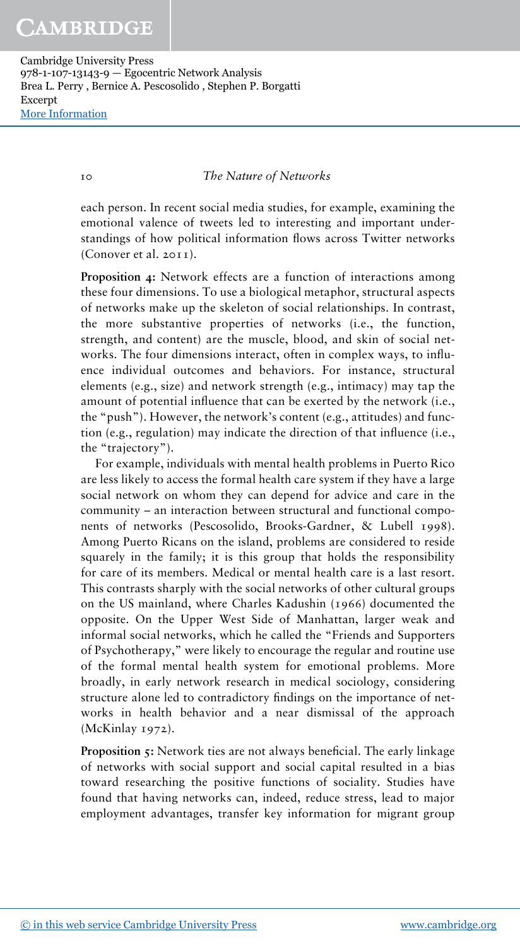#### 10 The Nature of Networks

each person. In recent social media studies, for example, examining the emotional valence of tweets led to interesting and important understandings of how political information flows across Twitter networks (Conover et al. 2011).

Proposition 4: Network effects are a function of interactions among these four dimensions. To use a biological metaphor, structural aspects of networks make up the skeleton of social relationships. In contrast, the more substantive properties of networks (i.e., the function, strength, and content) are the muscle, blood, and skin of social networks. The four dimensions interact, often in complex ways, to influence individual outcomes and behaviors. For instance, structural elements (e.g., size) and network strength (e.g., intimacy) may tap the amount of potential influence that can be exerted by the network (i.e., the "push"). However, the network's content (e.g., attitudes) and function (e.g., regulation) may indicate the direction of that influence (i.e., the "trajectory").

For example, individuals with mental health problems in Puerto Rico are less likely to access the formal health care system if they have a large social network on whom they can depend for advice and care in the community – an interaction between structural and functional components of networks (Pescosolido, Brooks-Gardner, & Lubell 1998). Among Puerto Ricans on the island, problems are considered to reside squarely in the family; it is this group that holds the responsibility for care of its members. Medical or mental health care is a last resort. This contrasts sharply with the social networks of other cultural groups on the US mainland, where Charles Kadushin (1966) documented the opposite. On the Upper West Side of Manhattan, larger weak and informal social networks, which he called the "Friends and Supporters of Psychotherapy," were likely to encourage the regular and routine use of the formal mental health system for emotional problems. More broadly, in early network research in medical sociology, considering structure alone led to contradictory findings on the importance of networks in health behavior and a near dismissal of the approach (McKinlay 1972).

Proposition 5: Network ties are not always beneficial. The early linkage of networks with social support and social capital resulted in a bias toward researching the positive functions of sociality. Studies have found that having networks can, indeed, reduce stress, lead to major employment advantages, transfer key information for migrant group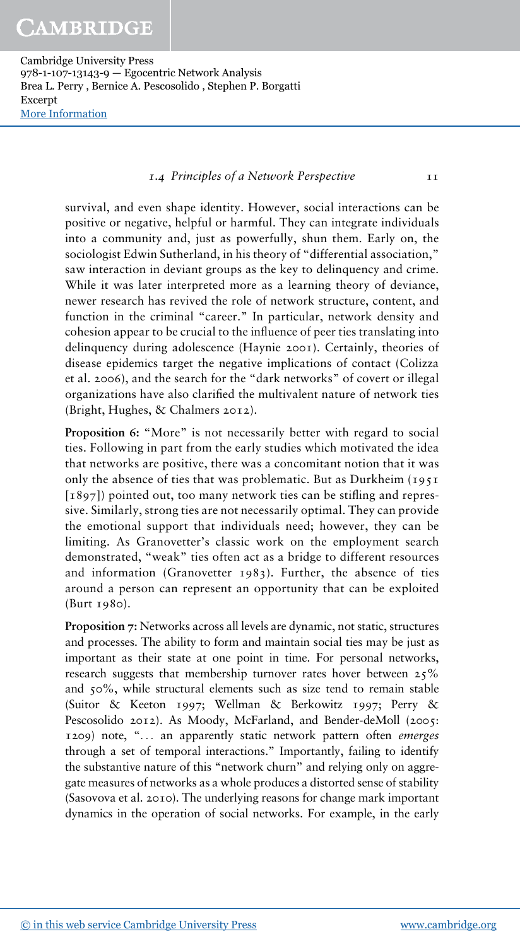## 1.4 Principles of a Network Perspective 11

survival, and even shape identity. However, social interactions can be positive or negative, helpful or harmful. They can integrate individuals into a community and, just as powerfully, shun them. Early on, the sociologist Edwin Sutherland, in his theory of "differential association," saw interaction in deviant groups as the key to delinquency and crime. While it was later interpreted more as a learning theory of deviance, newer research has revived the role of network structure, content, and function in the criminal "career." In particular, network density and cohesion appear to be crucial to the influence of peer ties translating into delinquency during adolescence (Haynie 2001). Certainly, theories of disease epidemics target the negative implications of contact (Colizza et al. 2006), and the search for the "dark networks" of covert or illegal organizations have also clarified the multivalent nature of network ties (Bright, Hughes, & Chalmers 2012).

Proposition 6: "More" is not necessarily better with regard to social ties. Following in part from the early studies which motivated the idea that networks are positive, there was a concomitant notion that it was only the absence of ties that was problematic. But as Durkheim  $(1951)$ [1897]) pointed out, too many network ties can be stifling and repressive. Similarly, strong ties are not necessarily optimal. They can provide the emotional support that individuals need; however, they can be limiting. As Granovetter's classic work on the employment search demonstrated, "weak" ties often act as a bridge to different resources and information (Granovetter 1983). Further, the absence of ties around a person can represent an opportunity that can be exploited (Burt 1980).

Proposition 7: Networks across all levels are dynamic, not static, structures and processes. The ability to form and maintain social ties may be just as important as their state at one point in time. For personal networks, research suggests that membership turnover rates hover between 25% and 50%, while structural elements such as size tend to remain stable (Suitor & Keeton 1997; Wellman & Berkowitz 1997; Perry & Pescosolido 2012). As Moody, McFarland, and Bender-deMoll (2005: 1209) note, "... an apparently static network pattern often *emerges* through a set of temporal interactions." Importantly, failing to identify the substantive nature of this "network churn" and relying only on aggregate measures of networks as a whole produces a distorted sense of stability (Sasovova et al. 2010). The underlying reasons for change mark important dynamics in the operation of social networks. For example, in the early